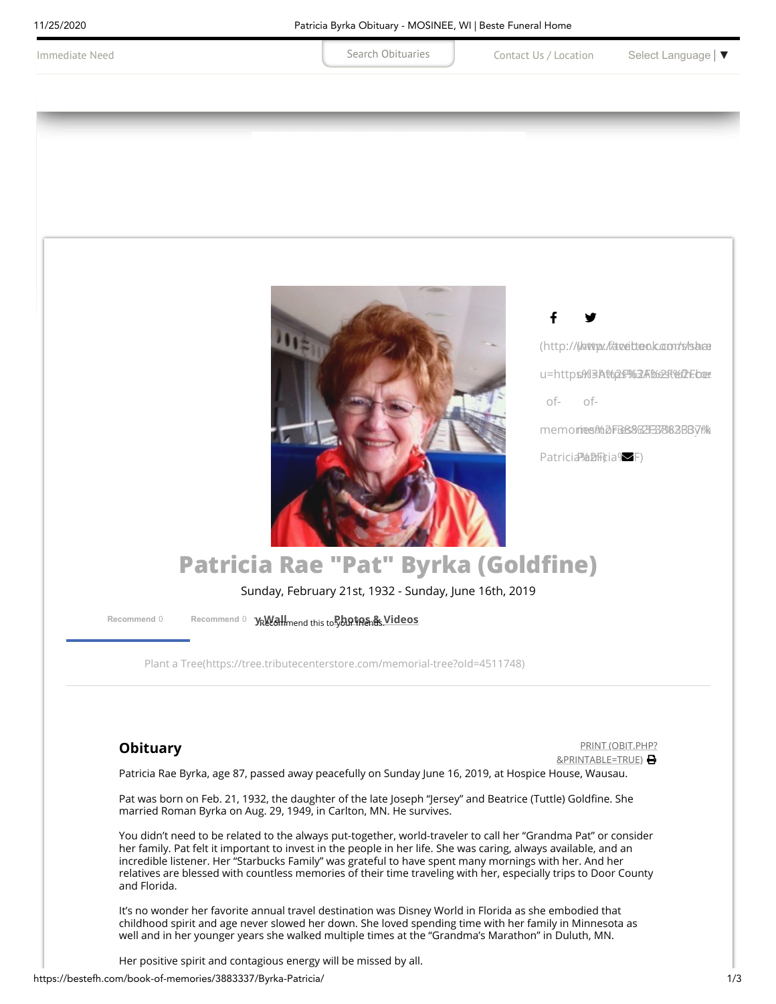<span id="page-0-0"></span>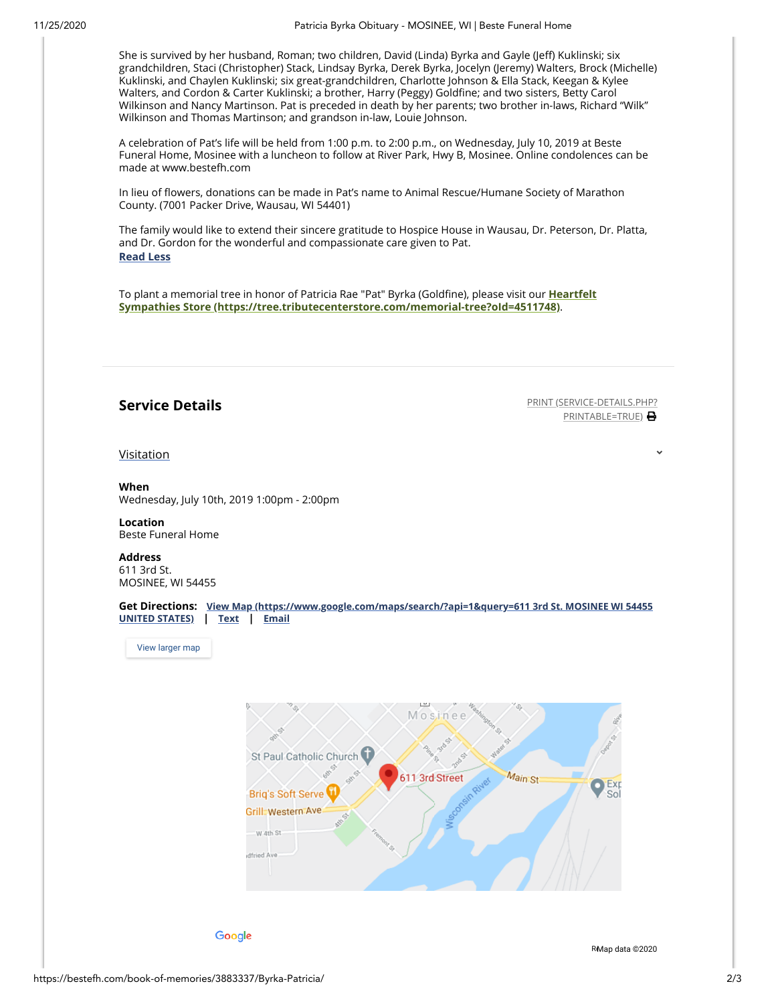She is survived by her husband, Roman; two children, David (Linda) Byrka and Gayle (Jeff) Kuklinski; six grandchildren, Staci (Christopher) Stack, Lindsay Byrka, Derek Byrka, Jocelyn (Jeremy) Walters, Brock (Michelle) Kuklinski, and Chaylen Kuklinski; six great-grandchildren, Charlotte Johnson & Ella Stack, Keegan & Kylee Walters, and Cordon & Carter Kuklinski; a brother, Harry (Peggy) Goldfine; and two sisters, Betty Carol Wilkinson and Nancy Martinson. Pat is preceded in death by her parents; two brother in-laws, Richard "Wilk" Wilkinson and Thomas Martinson; and grandson in-law, Louie Johnson.

A celebration of Pat's life will be held from 1:00 p.m. to 2:00 p.m., on Wednesday, July 10, 2019 at Beste Funeral Home, Mosinee with a luncheon to follow at River Park, Hwy B, Mosinee. Online condolences can be made at www.bestefh.com

In lieu of flowers, donations can be made in Pat's name to Animal Rescue/Humane Society of Marathon County. (7001 Packer Drive, Wausau, WI 54401)

The family would like to extend their sincere gratitude to Hospice House in Wausau, Dr. Peterson, Dr. Platta, and Dr. Gordon for the wonderful and compassionate care given to Pat. **Read Less**

To plant a memorial tree in honor of Patricia Rae "Pat" Byrka (Goldfine), please visit our Heartfelt **Sympathies Store [\(https://tree.tributecenterstore.com/memorial-tree?oId=4511748\)](https://tree.tributecenterstore.com/memorial-tree?oId=4511748)**.

**Service Details PRINT** [\(SERVICE-DETAILS.PHP?](https://bestefh.com/book-of-memories/3883337/Byrka-Patricia/service-details.php?printable=true) PRINTABLE=TRUE) **B** 

[Visitation](#page-1-0)

<span id="page-1-0"></span>**When** Wednesday, July 10th, 2019 1:00pm - 2:00pm

**Location** Beste Funeral Home

**Address** 611 3rd St. MOSINEE, WI 54455

**Get Directions: View Map [\(https://www.google.com/maps/search/?api=1&query=611](https://www.google.com/maps/search/?api=1&query=611%203rd%20St.%20MOSINEE%20WI%2054455%20UNITED%20STATES) 3rd St. MOSINEE WI 54455 UNITED STATES) | Text | Email**

[View larger map](https://maps.google.com/maps?ll=44.789795,-89.706038&z=15&t=m&hl=en-US&gl=US&mapclient=embed&q=611%203rd%20St%20Mosinee%2C%20WI%2054455)



Google

R[Map data ©202](https://www.google.com/maps/@44.7897953,-89.7060379,15z/data=!10m1!1e1!12b1?source=apiv3&rapsrc=apiv3)0